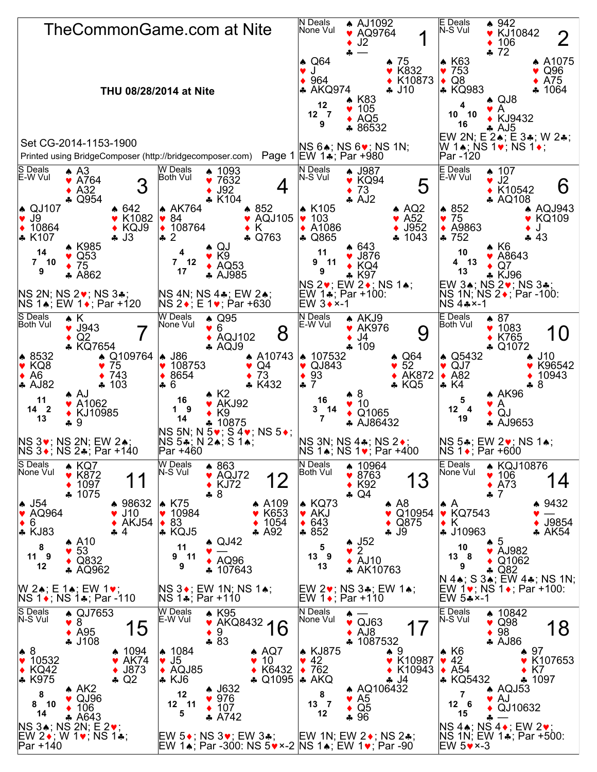